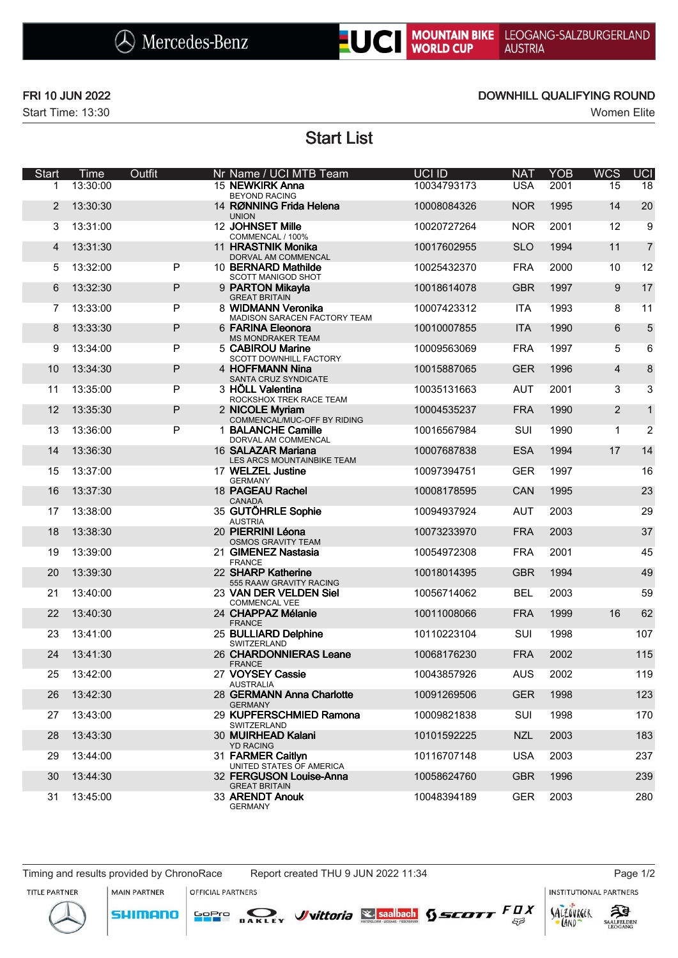# UCI MOUNTAIN BIKE LEOGANG-SALZBURGERLAND<br>WORLD CUP AUSTRIA

Start Time: 13:30 Women Elite

### FRI 10 JUN 2022 DOWNHILL QUALIFYING ROUND

Start List

| Start          | Time     | Outfit       | Nr Name / UCI MTB Team                                          | UCI ID      | <b>NAT</b> | <b>YOB</b> | <b>WCS</b>     | UCI            |
|----------------|----------|--------------|-----------------------------------------------------------------|-------------|------------|------------|----------------|----------------|
| 1              | 13:30:00 |              | 15 NEWKIRK Anna                                                 | 10034793173 | <b>USA</b> | 2001       | 15             | 18             |
| 2              | 13:30:30 |              | <b>BEYOND RACING</b><br>14 RØNNING Frida Helena<br><b>UNION</b> | 10008084326 | <b>NOR</b> | 1995       | 14             | 20             |
| 3              | 13:31:00 |              | 12 JOHNSET Mille<br>COMMENCAL / 100%                            | 10020727264 | <b>NOR</b> | 2001       | 12             | 9              |
| $\overline{4}$ | 13:31:30 |              | 11 HRASTNIK Monika<br>DORVAL AM COMMENCAL                       | 10017602955 | <b>SLO</b> | 1994       | 11             | $\overline{7}$ |
| 5              | 13:32:00 | P            | 10 BERNARD Mathilde<br>SCOTT MANIGOD SHOT                       | 10025432370 | <b>FRA</b> | 2000       | 10             | 12             |
| 6              | 13:32:30 | $\mathsf{P}$ | 9 PARTON Mikayla<br><b>GREAT BRITAIN</b>                        | 10018614078 | <b>GBR</b> | 1997       | 9              | 17             |
| 7              | 13:33:00 | P            | 8 WIDMANN Veronika<br><b>MADISON SARACEN FACTORY TEAM</b>       | 10007423312 | <b>ITA</b> | 1993       | 8              | 11             |
| 8              | 13:33:30 | $\mathsf{P}$ | 6 FARINA Eleonora<br><b>MS MONDRAKER TEAM</b>                   | 10010007855 | <b>ITA</b> | 1990       | 6              | 5              |
| 9              | 13:34:00 | P            | 5 CABIROU Marine<br>SCOTT DOWNHILL FACTORY                      | 10009563069 | <b>FRA</b> | 1997       | 5              | 6              |
| 10             | 13:34:30 | ${\sf P}$    | 4 HOFFMANN Nina<br>SANTA CRUZ SYNDICATE                         | 10015887065 | <b>GER</b> | 1996       | $\overline{4}$ | 8              |
| 11             | 13:35:00 | P            | 3 HÖLL Valentina<br>ROCKSHOX TREK RACE TEAM                     | 10035131663 | <b>AUT</b> | 2001       | 3              | 3              |
| 12             | 13:35:30 | P            | 2 NICOLE Myriam<br>COMMENCAL/MUC-OFF BY RIDING                  | 10004535237 | <b>FRA</b> | 1990       | $\overline{2}$ | $\mathbf{1}$   |
| 13             | 13:36:00 | P            | 1 BALANCHE Camille<br>DORVAL AM COMMENCAL                       | 10016567984 | SUI        | 1990       | 1              | $\overline{2}$ |
| 14             | 13:36:30 |              | 16 SALAZAR Mariana<br>LES ARCS MOUNTAINBIKE TEAM                | 10007687838 | <b>ESA</b> | 1994       | 17             | 14             |
| 15             | 13:37:00 |              | 17 WELZEL Justine<br><b>GERMANY</b>                             | 10097394751 | <b>GER</b> | 1997       |                | 16             |
| 16             | 13:37:30 |              | 18 PAGEAU Rachel<br><b>CANADA</b>                               | 10008178595 | CAN        | 1995       |                | 23             |
| 17             | 13:38:00 |              | 35 GUTÖHRLE Sophie<br><b>AUSTRIA</b>                            | 10094937924 | <b>AUT</b> | 2003       |                | 29             |
| 18             | 13:38:30 |              | 20 PIERRINI Léona<br><b>OSMOS GRAVITY TEAM</b>                  | 10073233970 | <b>FRA</b> | 2003       |                | 37             |
| 19             | 13:39:00 |              | 21 GIMENEZ Nastasia<br><b>FRANCE</b>                            | 10054972308 | <b>FRA</b> | 2001       |                | 45             |
| 20             | 13:39:30 |              | 22 SHARP Katherine<br>555 RAAW GRAVITY RACING                   | 10018014395 | <b>GBR</b> | 1994       |                | 49             |
| 21             | 13:40:00 |              | 23 VAN DER VELDEN Siel<br><b>COMMENCAL VEE</b>                  | 10056714062 | <b>BEL</b> | 2003       |                | 59             |
| 22             | 13:40:30 |              | 24 CHAPPAZ Mélanie<br><b>FRANCE</b>                             | 10011008066 | <b>FRA</b> | 1999       | 16             | 62             |
| 23             | 13:41:00 |              | 25 BULLIARD Delphine<br>SWITZERLAND                             | 10110223104 | SUI        | 1998       |                | 107            |
| 24             | 13:41:30 |              | 26 CHARDONNIERAS Leane<br><b>FRANCE</b>                         | 10068176230 | <b>FRA</b> | 2002       |                | 115            |
| 25             | 13:42:00 |              | 27 VOYSEY Cassie<br><b>AUSTRALIA</b>                            | 10043857926 | <b>AUS</b> | 2002       |                | 119            |
| 26             | 13:42:30 |              | 28 GERMANN Anna Charlotte<br><b>GERMANY</b>                     | 10091269506 | <b>GER</b> | 1998       |                | 123            |
| 27             | 13:43:00 |              | 29 KUPFERSCHMIED Ramona<br>SWITZERLAND                          | 10009821838 | SUI        | 1998       |                | 170            |
| 28             | 13:43:30 |              | 30 MUIRHEAD Kalani<br><b>YD RACING</b>                          | 10101592225 | <b>NZL</b> | 2003       |                | 183            |
| 29             | 13:44:00 |              | 31 FARMER Caitlyn<br>UNITED STATES OF AMERICA                   | 10116707148 | <b>USA</b> | 2003       |                | 237            |
| 30             | 13:44:30 |              | 32 FERGUSON Louise-Anna<br><b>GREAT BRITAIN</b>                 | 10058624760 | <b>GBR</b> | 1996       |                | 239            |
| 31             | 13:45:00 |              | 33 ARENDT Anouk<br><b>GERMANY</b>                               | 10048394189 | <b>GER</b> | 2003       |                | 280            |

MAIN PARTNER

SHIMANO

OFFICIAL PARTNERS

SOPIO DAKLEY Vittoria & saabach SSCOTT FUX

INSTITUTIONAL PARTNERS





 $53$